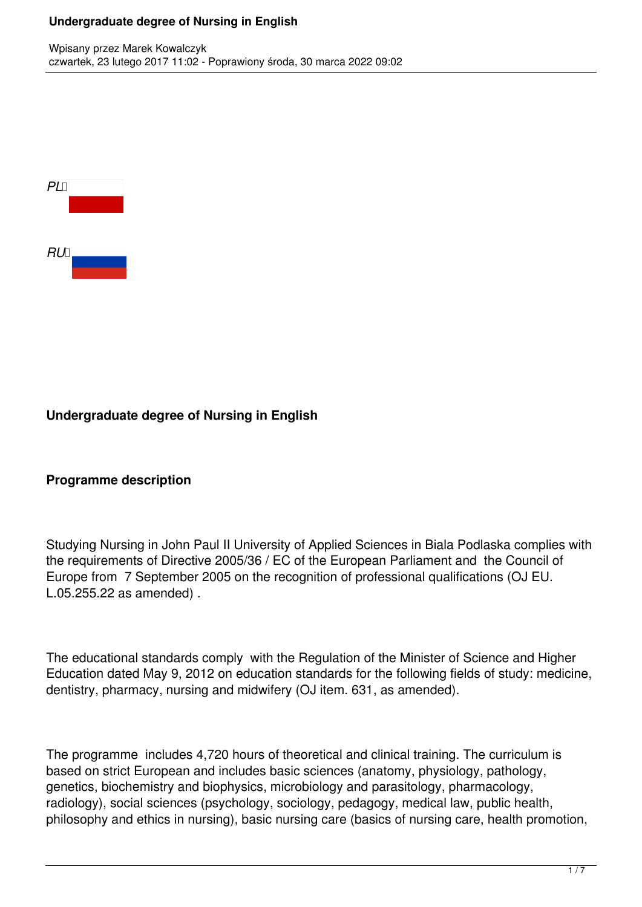

### **Undergraduate degree of Nursing in English**

#### **Programme description**

Studying Nursing in John Paul II University of Applied Sciences in Biala Podlaska complies with the requirements of Directive 2005/36 / EC of the European Parliament and the Council of Europe from 7 September 2005 on the recognition of professional qualifications (OJ EU. L.05.255.22 as amended) .

The educational standards comply with the Regulation of the Minister of Science and Higher Education dated May 9, 2012 on education standards for the following fields of study: medicine, dentistry, pharmacy, nursing and midwifery (OJ item. 631, as amended).

The programme includes 4,720 hours of theoretical and clinical training. The curriculum is based on strict European and includes basic sciences (anatomy, physiology, pathology, genetics, biochemistry and biophysics, microbiology and parasitology, pharmacology, radiology), social sciences (psychology, sociology, pedagogy, medical law, public health, philosophy and ethics in nursing), basic nursing care (basics of nursing care, health promotion,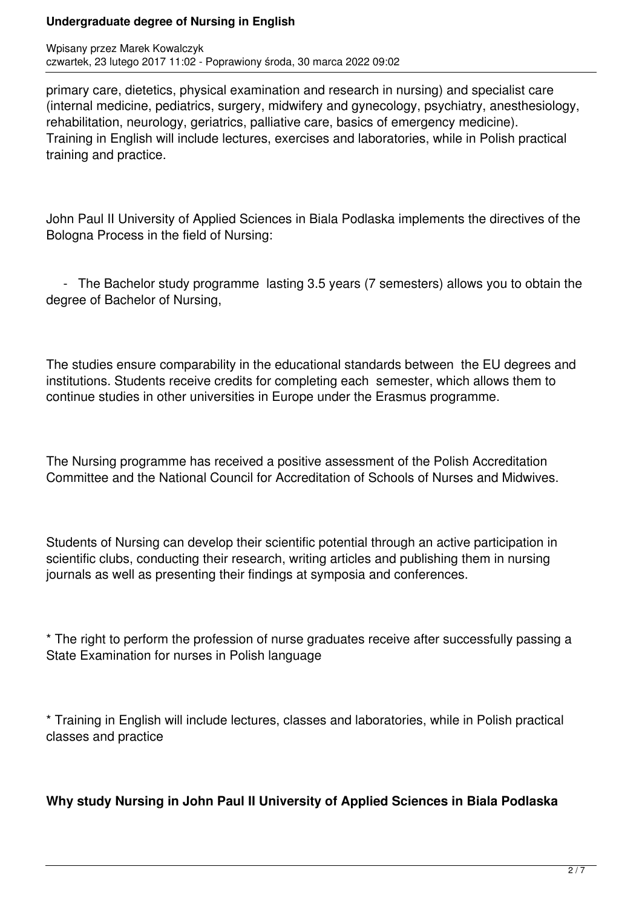primary care, dietetics, physical examination and research in nursing) and specialist care (internal medicine, pediatrics, surgery, midwifery and gynecology, psychiatry, anesthesiology, rehabilitation, neurology, geriatrics, palliative care, basics of emergency medicine). Training in English will include lectures, exercises and laboratories, while in Polish practical training and practice.

John Paul II University of Applied Sciences in Biala Podlaska implements the directives of the Bologna Process in the field of Nursing:

 - The Bachelor study programme lasting 3.5 years (7 semesters) allows you to obtain the degree of Bachelor of Nursing,

The studies ensure comparability in the educational standards between the EU degrees and institutions. Students receive credits for completing each semester, which allows them to continue studies in other universities in Europe under the Erasmus programme.

The Nursing programme has received a positive assessment of the Polish Accreditation Committee and the National Council for Accreditation of Schools of Nurses and Midwives.

Students of Nursing can develop their scientific potential through an active participation in scientific clubs, conducting their research, writing articles and publishing them in nursing journals as well as presenting their findings at symposia and conferences.

\* The right to perform the profession of nurse graduates receive after successfully passing a State Examination for nurses in Polish language

\* Training in English will include lectures, classes and laboratories, while in Polish practical classes and practice

**Why study Nursing in John Paul II University of Applied Sciences in Biala Podlaska**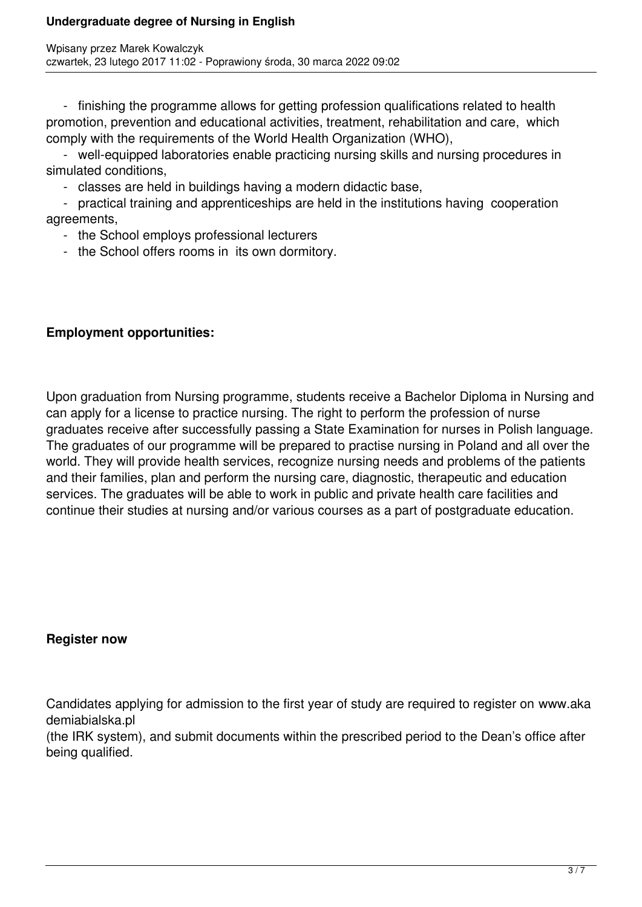- finishing the programme allows for getting profession qualifications related to health promotion, prevention and educational activities, treatment, rehabilitation and care, which comply with the requirements of the World Health Organization (WHO),

 - well-equipped laboratories enable practicing nursing skills and nursing procedures in simulated conditions,

- classes are held in buildings having a modern didactic base,

 - practical training and apprenticeships are held in the institutions having cooperation agreements,

- the School employs professional lecturers
- the School offers rooms in its own dormitory.

# **Employment opportunities:**

Upon graduation from Nursing programme, students receive a Bachelor Diploma in Nursing and can apply for a license to practice nursing. The right to perform the profession of nurse graduates receive after successfully passing a State Examination for nurses in Polish language. The graduates of our programme will be prepared to practise nursing in Poland and all over the world. They will provide health services, recognize nursing needs and problems of the patients and their families, plan and perform the nursing care, diagnostic, therapeutic and education services. The graduates will be able to work in public and private health care facilities and continue their studies at nursing and/or various courses as a part of postgraduate education.

## **Register now**

Candidates applying for admission to the first year of study are required to register on www.aka demiabialska.pl

(the IRK system), and submit documents within the prescribed period to the Dean's office after being qualified.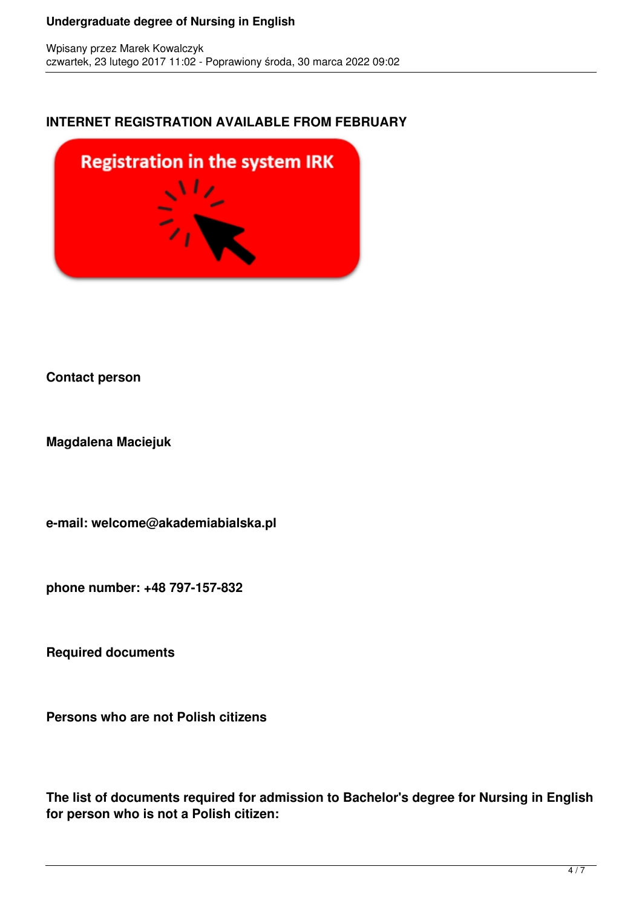### **INTERNET REGISTRATION AVAILABLE FROM FEBRUARY**



#### **Contact person**

**Magdalena Maciejuk**

**e-mail: welcome@akademiabialska.pl**

**phone number: +48 797-157-832**

**Required documents**

**Persons who are not Polish citizens**

**The list of documents required for admission to Bachelor's degree for Nursing in English for person who is not a Polish citizen:**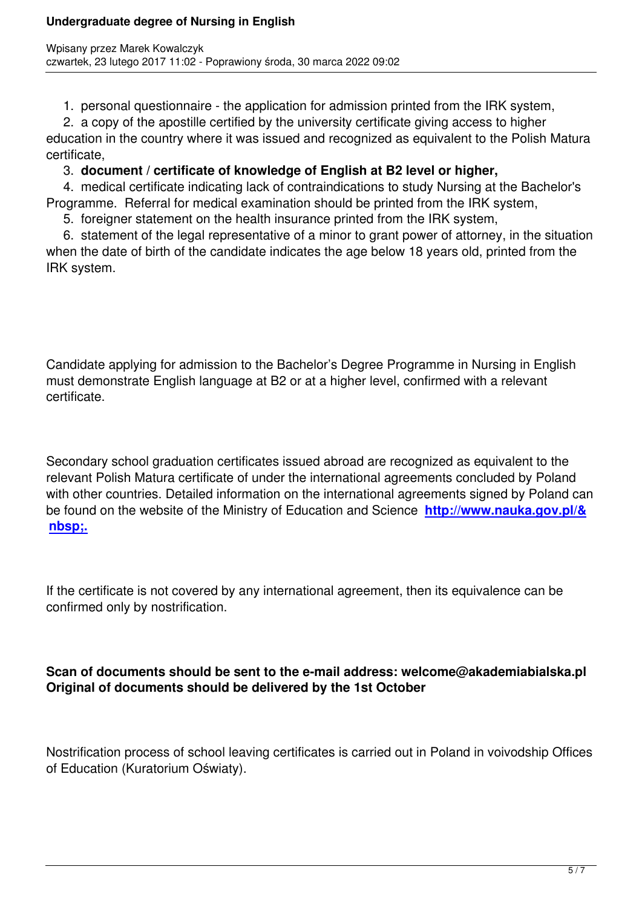1. personal questionnaire - the application for admission printed from the IRK system,

 2. a copy of the apostille certified by the university certificate giving access to higher education in the country where it was issued and recognized as equivalent to the Polish Matura certificate,

### 3. **document / certificate of knowledge of English at B2 level or higher,**

 4. medical certificate indicating lack of contraindications to study Nursing at the Bachelor's Programme. Referral for medical examination should be printed from the IRK system,

5. foreigner statement on the health insurance printed from the IRK system,

 6. statement of the legal representative of a minor to grant power of attorney, in the situation when the date of birth of the candidate indicates the age below 18 years old, printed from the IRK system.

Candidate applying for admission to the Bachelor's Degree Programme in Nursing in English must demonstrate English language at B2 or at a higher level, confirmed with a relevant certificate.

Secondary school graduation certificates issued abroad are recognized as equivalent to the relevant Polish Matura certificate of under the international agreements concluded by Poland with other countries. Detailed information on the international agreements signed by Poland can be found on the website of the Ministry of Education and Science **http://www.nauka.gov.pl/& nbsp;.**

[If the ce](http://www.nauka.gov.pl/)rtificate is not covered by any international agreement, then its equivalence can be confirmed only by nostrification.

### **Scan of documents should be sent to the e-mail address: welcome@akademiabialska.pl Original of documents should be delivered by the 1st October**

Nostrification process of school leaving certificates is carried out in Poland in voivodship Offices of Education (Kuratorium Oświaty).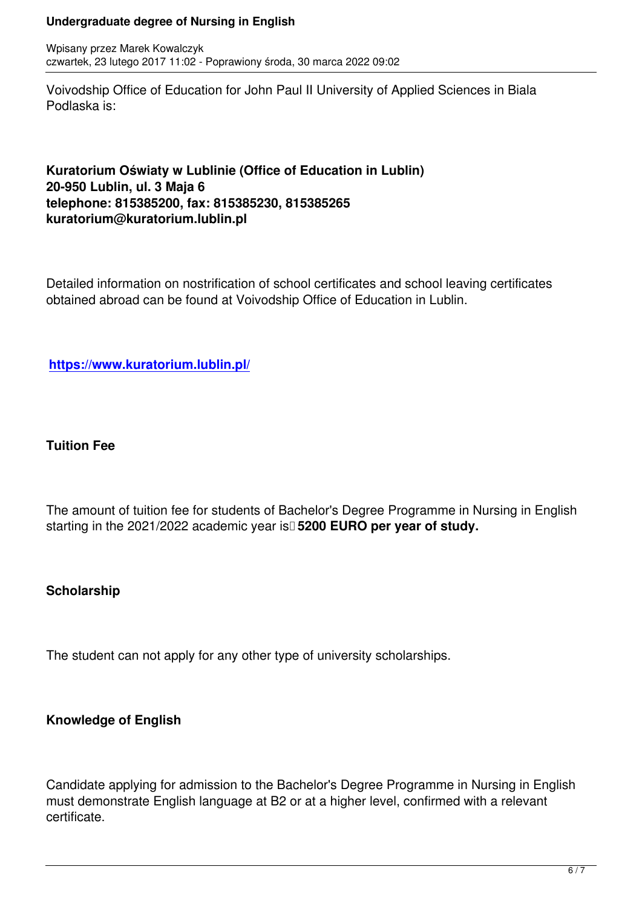Voivodship Office of Education for John Paul II University of Applied Sciences in Biala Podlaska is:

### **Kuratorium Oświaty w Lublinie (Office of Education in Lublin) 20-950 Lublin, ul. 3 Maja 6 telephone: 815385200, fax: 815385230, 815385265 kuratorium@kuratorium.lublin.pl**

Detailed information on nostrification of school certificates and school leaving certificates obtained abroad can be found at Voivodship Office of Education in Lublin.

**https://www.kuratorium.lublin.pl/**

### **Tuition Fee**

The amount of tuition fee for students of Bachelor's Degree Programme in Nursing in English starting in the 2021/2022 academic year is<sup>[1</sup>5200 EURO per year of study.

### **Scholarship**

The student can not apply for any other type of university scholarships.

# **Knowledge of English**

Candidate applying for admission to the Bachelor's Degree Programme in Nursing in English must demonstrate English language at B2 or at a higher level, confirmed with a relevant certificate.